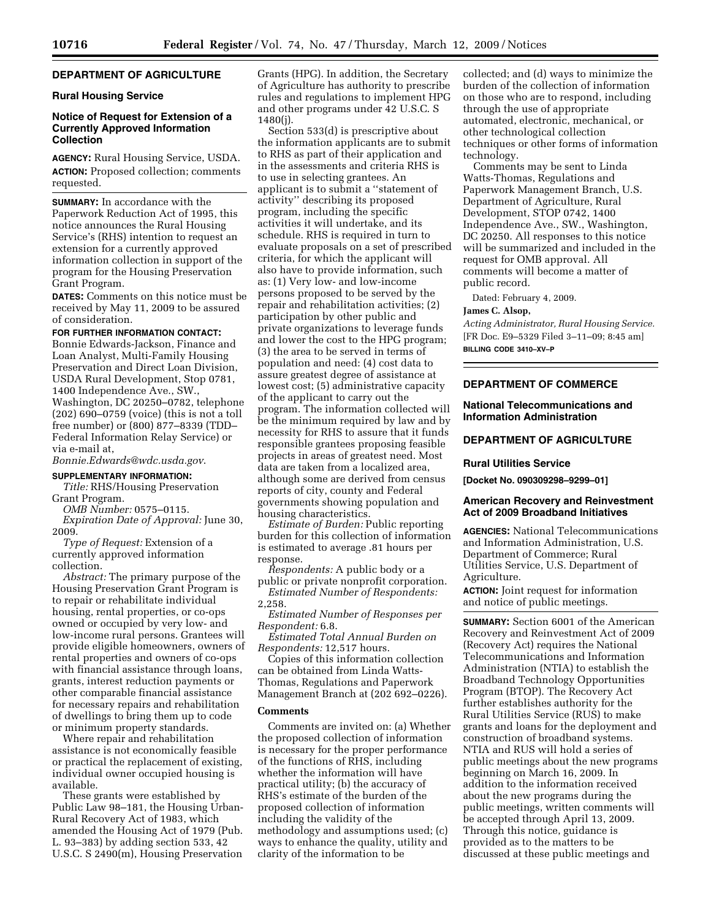# **DEPARTMENT OF AGRICULTURE**

## **Rural Housing Service**

## **Notice of Request for Extension of a Currently Approved Information Collection**

**AGENCY:** Rural Housing Service, USDA. **ACTION:** Proposed collection; comments requested.

**SUMMARY:** In accordance with the Paperwork Reduction Act of 1995, this notice announces the Rural Housing Service's (RHS) intention to request an extension for a currently approved information collection in support of the program for the Housing Preservation Grant Program.

**DATES:** Comments on this notice must be received by May 11, 2009 to be assured of consideration.

#### **FOR FURTHER INFORMATION CONTACT:**

Bonnie Edwards-Jackson, Finance and Loan Analyst, Multi-Family Housing Preservation and Direct Loan Division, USDA Rural Development, Stop 0781, 1400 Independence Ave., SW., Washington, DC 20250–0782, telephone (202) 690–0759 (voice) (this is not a toll free number) or (800) 877–8339 (TDD– Federal Information Relay Service) or via e-mail at,

*Bonnie.Edwards@wdc.usda.gov*.

#### **SUPPLEMENTARY INFORMATION:**

*Title:* RHS/Housing Preservation Grant Program.

*OMB Number:* 0575–0115.

*Expiration Date of Approval:* June 30, 2009.

*Type of Request:* Extension of a currently approved information collection.

*Abstract:* The primary purpose of the Housing Preservation Grant Program is to repair or rehabilitate individual housing, rental properties, or co-ops owned or occupied by very low- and low-income rural persons. Grantees will provide eligible homeowners, owners of rental properties and owners of co-ops with financial assistance through loans, grants, interest reduction payments or other comparable financial assistance for necessary repairs and rehabilitation of dwellings to bring them up to code or minimum property standards.

Where repair and rehabilitation assistance is not economically feasible or practical the replacement of existing, individual owner occupied housing is available.

These grants were established by Public Law 98–181, the Housing Urban-Rural Recovery Act of 1983, which amended the Housing Act of 1979 (Pub. L. 93–383) by adding section 533, 42 U.S.C. S 2490(m), Housing Preservation Grants (HPG). In addition, the Secretary of Agriculture has authority to prescribe rules and regulations to implement HPG and other programs under 42 U.S.C. S 1480(j).

Section 533(d) is prescriptive about the information applicants are to submit to RHS as part of their application and in the assessments and criteria RHS is to use in selecting grantees. An applicant is to submit a ''statement of activity'' describing its proposed program, including the specific activities it will undertake, and its schedule. RHS is required in turn to evaluate proposals on a set of prescribed criteria, for which the applicant will also have to provide information, such as: (1) Very low- and low-income persons proposed to be served by the repair and rehabilitation activities; (2) participation by other public and private organizations to leverage funds and lower the cost to the HPG program; (3) the area to be served in terms of population and need: (4) cost data to assure greatest degree of assistance at lowest cost; (5) administrative capacity of the applicant to carry out the program. The information collected will be the minimum required by law and by necessity for RHS to assure that it funds responsible grantees proposing feasible projects in areas of greatest need. Most data are taken from a localized area, although some are derived from census reports of city, county and Federal governments showing population and housing characteristics.

*Estimate of Burden:* Public reporting burden for this collection of information is estimated to average .81 hours per response.

*Respondents:* A public body or a public or private nonprofit corporation.

*Estimated Number of Respondents:*  2,258.

*Estimated Number of Responses per Respondent:* 6.8.

*Estimated Total Annual Burden on Respondents:* 12,517 hours.

Copies of this information collection can be obtained from Linda Watts-Thomas, Regulations and Paperwork Management Branch at (202 692–0226).

## **Comments**

Comments are invited on: (a) Whether the proposed collection of information is necessary for the proper performance of the functions of RHS, including whether the information will have practical utility; (b) the accuracy of RHS's estimate of the burden of the proposed collection of information including the validity of the methodology and assumptions used; (c) ways to enhance the quality, utility and clarity of the information to be

collected; and (d) ways to minimize the burden of the collection of information on those who are to respond, including through the use of appropriate automated, electronic, mechanical, or other technological collection techniques or other forms of information technology.

Comments may be sent to Linda Watts-Thomas, Regulations and Paperwork Management Branch, U.S. Department of Agriculture, Rural Development, STOP 0742, 1400 Independence Ave., SW., Washington, DC 20250. All responses to this notice will be summarized and included in the request for OMB approval. All comments will become a matter of public record.

Dated: February 4, 2009.

## **James C. Alsop,**

*Acting Administrator, Rural Housing Service.*  [FR Doc. E9–5329 Filed 3–11–09; 8:45 am] **BILLING CODE 3410–XV–P** 

### **DEPARTMENT OF COMMERCE**

### **National Telecommunications and Information Administration**

# **DEPARTMENT OF AGRICULTURE**

#### **Rural Utilities Service**

**[Docket No. 090309298–9299–01]** 

#### **American Recovery and Reinvestment Act of 2009 Broadband Initiatives**

**AGENCIES:** National Telecommunications and Information Administration, U.S. Department of Commerce; Rural Utilities Service, U.S. Department of Agriculture.

**ACTION:** Joint request for information and notice of public meetings.

**SUMMARY:** Section 6001 of the American Recovery and Reinvestment Act of 2009 (Recovery Act) requires the National Telecommunications and Information Administration (NTIA) to establish the Broadband Technology Opportunities Program (BTOP). The Recovery Act further establishes authority for the Rural Utilities Service (RUS) to make grants and loans for the deployment and construction of broadband systems. NTIA and RUS will hold a series of public meetings about the new programs beginning on March 16, 2009. In addition to the information received about the new programs during the public meetings, written comments will be accepted through April 13, 2009. Through this notice, guidance is provided as to the matters to be discussed at these public meetings and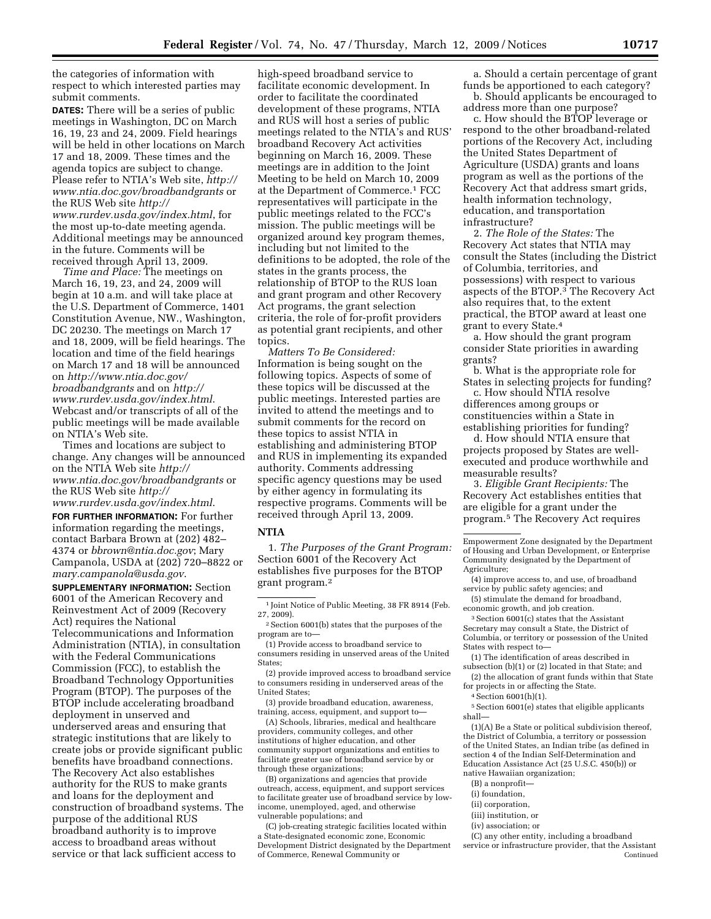the categories of information with respect to which interested parties may submit comments.

**DATES:** There will be a series of public meetings in Washington, DC on March 16, 19, 23 and 24, 2009. Field hearings will be held in other locations on March 17 and 18, 2009. These times and the agenda topics are subject to change. Please refer to NTIA's Web site, *http:// www.ntia.doc.gov/broadbandgrants* or the RUS Web site *http:// www.rurdev.usda.gov/index.html*, for the most up-to-date meeting agenda. Additional meetings may be announced in the future. Comments will be received through April 13, 2009.

*Time and Place:* The meetings on March 16, 19, 23, and 24, 2009 will begin at 10 a.m. and will take place at the U.S. Department of Commerce, 1401 Constitution Avenue, NW., Washington, DC 20230. The meetings on March 17 and 18, 2009, will be field hearings. The location and time of the field hearings on March 17 and 18 will be announced on *http://www.ntia.doc.gov/ broadbandgrants* and on *http:// www.rurdev.usda.gov/index.html*. Webcast and/or transcripts of all of the public meetings will be made available on NTIA's Web site.

Times and locations are subject to change. Any changes will be announced on the NTIA Web site *http:// www.ntia.doc.gov/broadbandgrants* or the RUS Web site *http://* 

*www.rurdev.usda.gov/index.html*.

**FOR FURTHER INFORMATION:** For further information regarding the meetings, contact Barbara Brown at (202) 482– 4374 or *bbrown@ntia.doc.gov*; Mary Campanola, USDA at (202) 720–8822 or *mary.campanola@usda.gov*.

**SUPPLEMENTARY INFORMATION:** Section 6001 of the American Recovery and Reinvestment Act of 2009 (Recovery Act) requires the National Telecommunications and Information Administration (NTIA), in consultation with the Federal Communications Commission (FCC), to establish the Broadband Technology Opportunities Program (BTOP). The purposes of the BTOP include accelerating broadband deployment in unserved and underserved areas and ensuring that strategic institutions that are likely to create jobs or provide significant public benefits have broadband connections. The Recovery Act also establishes authority for the RUS to make grants and loans for the deployment and construction of broadband systems. The purpose of the additional RUS broadband authority is to improve access to broadband areas without service or that lack sufficient access to

high-speed broadband service to facilitate economic development. In order to facilitate the coordinated development of these programs, NTIA and RUS will host a series of public meetings related to the NTIA's and RUS' broadband Recovery Act activities beginning on March 16, 2009. These meetings are in addition to the Joint Meeting to be held on March 10, 2009 at the Department of Commerce.1 FCC representatives will participate in the public meetings related to the FCC's mission. The public meetings will be organized around key program themes, including but not limited to the definitions to be adopted, the role of the states in the grants process, the relationship of BTOP to the RUS loan and grant program and other Recovery Act programs, the grant selection criteria, the role of for-profit providers as potential grant recipients, and other topics.

*Matters To Be Considered:*  Information is being sought on the following topics. Aspects of some of these topics will be discussed at the public meetings. Interested parties are invited to attend the meetings and to submit comments for the record on these topics to assist NTIA in establishing and administering BTOP and RUS in implementing its expanded authority. Comments addressing specific agency questions may be used by either agency in formulating its respective programs. Comments will be received through April 13, 2009.

#### **NTIA**

1. *The Purposes of the Grant Program:*  Section 6001 of the Recovery Act establishes five purposes for the BTOP grant program.2

2Section 6001(b) states that the purposes of the program are to—

(1) Provide access to broadband service to consumers residing in unserved areas of the United States;

(2) provide improved access to broadband service to consumers residing in underserved areas of the United States;

(3) provide broadband education, awareness, training, access, equipment, and support to—

(A) Schools, libraries, medical and healthcare providers, community colleges, and other institutions of higher education, and other community support organizations and entities to facilitate greater use of broadband service by or through these organizations;

(B) organizations and agencies that provide outreach, access, equipment, and support services to facilitate greater use of broadband service by lowincome, unemployed, aged, and otherwise vulnerable populations; and

(C) job-creating strategic facilities located within a State-designated economic zone, Economic Development District designated by the Department of Commerce, Renewal Community or

a. Should a certain percentage of grant funds be apportioned to each category? b. Should applicants be encouraged to

address more than one purpose?

c. How should the BTOP leverage or respond to the other broadband-related portions of the Recovery Act, including the United States Department of Agriculture (USDA) grants and loans program as well as the portions of the Recovery Act that address smart grids, health information technology, education, and transportation infrastructure?

2. *The Role of the States:* The Recovery Act states that NTIA may consult the States (including the District of Columbia, territories, and possessions) with respect to various aspects of the BTOP.3 The Recovery Act also requires that, to the extent practical, the BTOP award at least one grant to every State.4

a. How should the grant program consider State priorities in awarding grants?

b. What is the appropriate role for States in selecting projects for funding?

c. How should NTIA resolve differences among groups or constituencies within a State in establishing priorities for funding?

d. How should NTIA ensure that projects proposed by States are wellexecuted and produce worthwhile and measurable results?

3. *Eligible Grant Recipients:* The Recovery Act establishes entities that are eligible for a grant under the program.5 The Recovery Act requires

Empowerment Zone designated by the Department of Housing and Urban Development, or Enterprise Community designated by the Department of Agriculture;

(4) improve access to, and use, of broadband service by public safety agencies; and

(5) stimulate the demand for broadband, economic growth, and job creation.

3Section 6001(c) states that the Assistant Secretary may consult a State, the District of Columbia, or territory or possession of the United States with respect to—

(1) The identification of areas described in subsection (b)(1) or (2) located in that State; and

(2) the allocation of grant funds within that State for projects in or affecting the State.

4Section 6001(h)(1).

5Section 6001(e) states that eligible applicants shall—

(1)(A) Be a State or political subdivision thereof, the District of Columbia, a territory or possession of the United States, an Indian tribe (as defined in section 4 of the Indian Self-Determination and Education Assistance Act (25 U.S.C. 450(b)) or native Hawaiian organization;

(B) a nonprofit—

- (i) foundation,
- (ii) corporation,
- (iii) institution, or
- (iv) association; or

(C) any other entity, including a broadband service or infrastructure provider, that the Assistant Continued

<sup>1</sup> Joint Notice of Public Meeting, 38 FR 8914 (Feb. 27, 2009).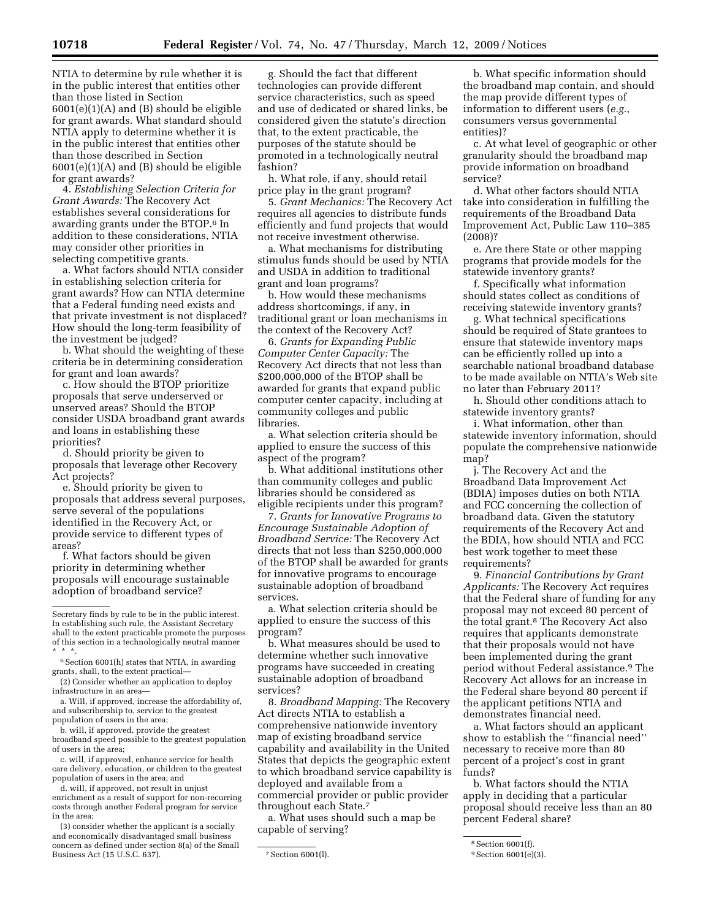NTIA to determine by rule whether it is in the public interest that entities other than those listed in Section 6001(e)(1)(A) and (B) should be eligible for grant awards. What standard should NTIA apply to determine whether it is in the public interest that entities other than those described in Section 6001(e)(1)(A) and (B) should be eligible for grant awards?

4. *Establishing Selection Criteria for Grant Awards:* The Recovery Act establishes several considerations for awarding grants under the BTOP.6 In addition to these considerations, NTIA may consider other priorities in selecting competitive grants.

a. What factors should NTIA consider in establishing selection criteria for grant awards? How can NTIA determine that a Federal funding need exists and that private investment is not displaced? How should the long-term feasibility of the investment be judged?

b. What should the weighting of these criteria be in determining consideration for grant and loan awards?

c. How should the BTOP prioritize proposals that serve underserved or unserved areas? Should the BTOP consider USDA broadband grant awards and loans in establishing these priorities?

d. Should priority be given to proposals that leverage other Recovery Act projects?

e. Should priority be given to proposals that address several purposes, serve several of the populations identified in the Recovery Act, or provide service to different types of areas?

f. What factors should be given priority in determining whether proposals will encourage sustainable adoption of broadband service?

d. will, if approved, not result in unjust enrichment as a result of support for non-recurring costs through another Federal program for service in the area;

(3) consider whether the applicant is a socially and economically disadvantaged small business concern as defined under section 8(a) of the Small Business Act (15 U.S.C. 637). 7 Section 6001(l).

g. Should the fact that different technologies can provide different service characteristics, such as speed and use of dedicated or shared links, be considered given the statute's direction that, to the extent practicable, the purposes of the statute should be promoted in a technologically neutral fashion?

h. What role, if any, should retail price play in the grant program?

5. *Grant Mechanics:* The Recovery Act requires all agencies to distribute funds efficiently and fund projects that would not receive investment otherwise.

a. What mechanisms for distributing stimulus funds should be used by NTIA and USDA in addition to traditional grant and loan programs?

b. How would these mechanisms address shortcomings, if any, in traditional grant or loan mechanisms in the context of the Recovery Act?

6. *Grants for Expanding Public Computer Center Capacity:* The Recovery Act directs that not less than \$200,000,000 of the BTOP shall be awarded for grants that expand public computer center capacity, including at community colleges and public libraries.

a. What selection criteria should be applied to ensure the success of this aspect of the program?

b. What additional institutions other than community colleges and public libraries should be considered as eligible recipients under this program?

7. *Grants for Innovative Programs to Encourage Sustainable Adoption of Broadband Service:* The Recovery Act directs that not less than \$250,000,000 of the BTOP shall be awarded for grants for innovative programs to encourage sustainable adoption of broadband services.

a. What selection criteria should be applied to ensure the success of this program?

b. What measures should be used to determine whether such innovative programs have succeeded in creating sustainable adoption of broadband services?

8. *Broadband Mapping:* The Recovery Act directs NTIA to establish a comprehensive nationwide inventory map of existing broadband service capability and availability in the United States that depicts the geographic extent to which broadband service capability is deployed and available from a commercial provider or public provider throughout each State.7

a. What uses should such a map be capable of serving?

b. What specific information should the broadband map contain, and should the map provide different types of information to different users (*e.g.*, consumers versus governmental entities)?

c. At what level of geographic or other granularity should the broadband map provide information on broadband service?

d. What other factors should NTIA take into consideration in fulfilling the requirements of the Broadband Data Improvement Act, Public Law 110–385 (2008)?

e. Are there State or other mapping programs that provide models for the statewide inventory grants?

f. Specifically what information should states collect as conditions of receiving statewide inventory grants?

g. What technical specifications should be required of State grantees to ensure that statewide inventory maps can be efficiently rolled up into a searchable national broadband database to be made available on NTIA's Web site no later than February 2011?

h. Should other conditions attach to statewide inventory grants?

i. What information, other than statewide inventory information, should populate the comprehensive nationwide map?

j. The Recovery Act and the Broadband Data Improvement Act (BDIA) imposes duties on both NTIA and FCC concerning the collection of broadband data. Given the statutory requirements of the Recovery Act and the BDIA, how should NTIA and FCC best work together to meet these requirements?

9. *Financial Contributions by Grant Applicants:* The Recovery Act requires that the Federal share of funding for any proposal may not exceed 80 percent of the total grant.8 The Recovery Act also requires that applicants demonstrate that their proposals would not have been implemented during the grant period without Federal assistance.9 The Recovery Act allows for an increase in the Federal share beyond 80 percent if the applicant petitions NTIA and demonstrates financial need.

a. What factors should an applicant show to establish the ''financial need'' necessary to receive more than 80 percent of a project's cost in grant funds?

b. What factors should the NTIA apply in deciding that a particular proposal should receive less than an 80 percent Federal share?

Secretary finds by rule to be in the public interest. In establishing such rule, the Assistant Secretary shall to the extent practicable promote the purposes of this section in a technologically neutral manner \* \* \*.

<sup>&</sup>lt;sup>6</sup> Section 6001(h) states that NTIA, in awarding grants, shall, to the extent practical—

<sup>(2)</sup> Consider whether an application to deploy infrastructure in an area—

a. Will, if approved, increase the affordability of, and subscribership to, service to the greatest population of users in the area;

b. will, if approved, provide the greatest broadband speed possible to the greatest population of users in the area;

c. will, if approved, enhance service for health care delivery, education, or children to the greatest population of users in the area; and

<sup>8</sup>Section 6001(f).

<sup>&</sup>lt;sup>9</sup> Section 6001(e)(3).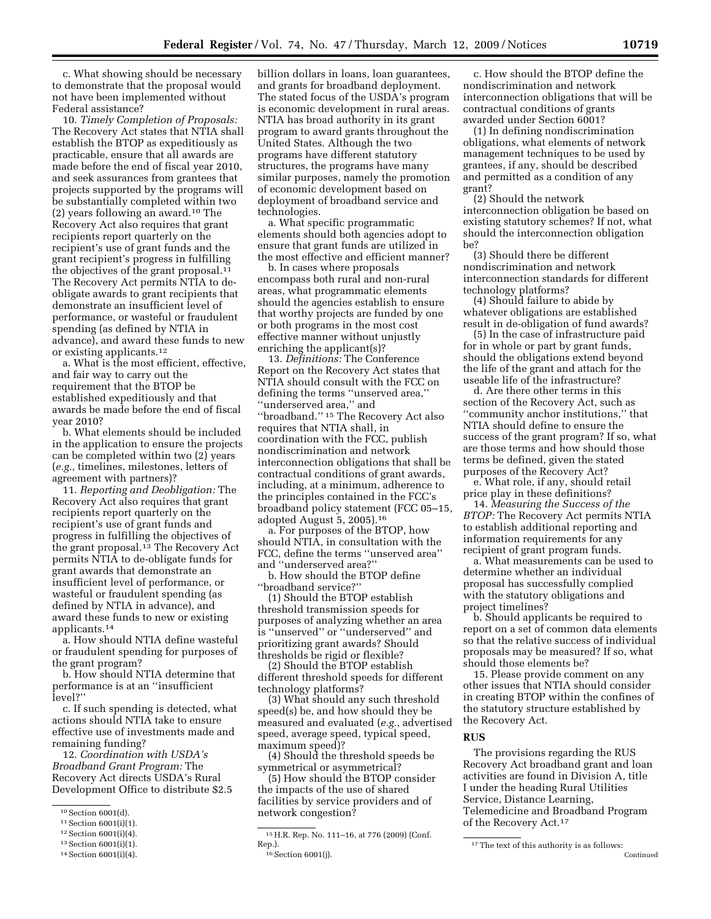c. What showing should be necessary to demonstrate that the proposal would not have been implemented without Federal assistance?

10. *Timely Completion of Proposals:*  The Recovery Act states that NTIA shall establish the BTOP as expeditiously as practicable, ensure that all awards are made before the end of fiscal year 2010, and seek assurances from grantees that projects supported by the programs will be substantially completed within two (2) years following an award.10 The Recovery Act also requires that grant recipients report quarterly on the recipient's use of grant funds and the grant recipient's progress in fulfilling the objectives of the grant proposal.<sup>11</sup> The Recovery Act permits NTIA to deobligate awards to grant recipients that demonstrate an insufficient level of performance, or wasteful or fraudulent spending (as defined by NTIA in advance), and award these funds to new or existing applicants.12

a. What is the most efficient, effective, and fair way to carry out the requirement that the BTOP be established expeditiously and that awards be made before the end of fiscal year 2010?

b. What elements should be included in the application to ensure the projects can be completed within two (2) years (*e.g.*, timelines, milestones, letters of agreement with partners)?

11. *Reporting and Deobligation:* The Recovery Act also requires that grant recipients report quarterly on the recipient's use of grant funds and progress in fulfilling the objectives of the grant proposal.<sup>13</sup> The Recovery Act permits NTIA to de-obligate funds for grant awards that demonstrate an insufficient level of performance, or wasteful or fraudulent spending (as defined by NTIA in advance), and award these funds to new or existing applicants.14

a. How should NTIA define wasteful or fraudulent spending for purposes of the grant program?

b. How should NTIA determine that performance is at an ''insufficient level?''

c. If such spending is detected, what actions should NTIA take to ensure effective use of investments made and remaining funding?

12. *Coordination with USDA's Broadband Grant Program:* The Recovery Act directs USDA's Rural Development Office to distribute \$2.5

billion dollars in loans, loan guarantees, and grants for broadband deployment. The stated focus of the USDA's program is economic development in rural areas. NTIA has broad authority in its grant program to award grants throughout the United States. Although the two programs have different statutory structures, the programs have many similar purposes, namely the promotion of economic development based on deployment of broadband service and technologies.

a. What specific programmatic elements should both agencies adopt to ensure that grant funds are utilized in the most effective and efficient manner?

b. In cases where proposals encompass both rural and non-rural areas, what programmatic elements should the agencies establish to ensure that worthy projects are funded by one or both programs in the most cost effective manner without unjustly enriching the applicant(s)?

13. *Definitions:* The Conference Report on the Recovery Act states that NTIA should consult with the FCC on defining the terms ''unserved area,'' ''underserved area,'' and ''broadband.'' 15 The Recovery Act also requires that NTIA shall, in coordination with the FCC, publish nondiscrimination and network interconnection obligations that shall be contractual conditions of grant awards, including, at a minimum, adherence to the principles contained in the FCC's broadband policy statement (FCC 05–15, adopted August 5, 2005).16

a. For purposes of the BTOP, how should NTIA, in consultation with the FCC, define the terms ''unserved area'' and ''underserved area?''

b. How should the BTOP define ''broadband service?''

(1) Should the BTOP establish threshold transmission speeds for purposes of analyzing whether an area is ''unserved'' or ''underserved'' and prioritizing grant awards? Should thresholds be rigid or flexible?

(2) Should the BTOP establish different threshold speeds for different technology platforms?

(3) What should any such threshold speed(s) be, and how should they be measured and evaluated (*e.g.*, advertised speed, average speed, typical speed, maximum speed)?

(4) Should the threshold speeds be symmetrical or asymmetrical?

(5) How should the BTOP consider the impacts of the use of shared facilities by service providers and of network congestion?

c. How should the BTOP define the nondiscrimination and network interconnection obligations that will be contractual conditions of grants awarded under Section 6001?

(1) In defining nondiscrimination obligations, what elements of network management techniques to be used by grantees, if any, should be described and permitted as a condition of any grant?

(2) Should the network interconnection obligation be based on existing statutory schemes? If not, what should the interconnection obligation be?

(3) Should there be different nondiscrimination and network interconnection standards for different technology platforms?

(4) Should failure to abide by whatever obligations are established result in de-obligation of fund awards?

(5) In the case of infrastructure paid for in whole or part by grant funds, should the obligations extend beyond the life of the grant and attach for the useable life of the infrastructure?

d. Are there other terms in this section of the Recovery Act, such as ''community anchor institutions,'' that NTIA should define to ensure the success of the grant program? If so, what are those terms and how should those terms be defined, given the stated purposes of the Recovery Act?

e. What role, if any, should retail price play in these definitions?

14. *Measuring the Success of the BTOP:* The Recovery Act permits NTIA to establish additional reporting and information requirements for any recipient of grant program funds.

a. What measurements can be used to determine whether an individual proposal has successfully complied with the statutory obligations and project timelines?

b. Should applicants be required to report on a set of common data elements so that the relative success of individual proposals may be measured? If so, what should those elements be?

15. Please provide comment on any other issues that NTIA should consider in creating BTOP within the confines of the statutory structure established by the Recovery Act.

#### **RUS**

The provisions regarding the RUS Recovery Act broadband grant and loan activities are found in Division A, title I under the heading Rural Utilities Service, Distance Learning, Telemedicine and Broadband Program of the Recovery Act.17

<sup>10</sup>Section 6001(d).

<sup>11</sup>Section 6001(i)(1).

<sup>12</sup>Section 6001(i)(4).

<sup>13</sup>Section 6001(i)(1).

<sup>14</sup>Section 6001(i)(4).

<sup>&</sup>lt;sup>15</sup> H.R. Rep. No. 111–16, at 776 (2009) (Conf.<br>Rep.).

 $16$  Section 6001(j).

 $^{\rm 17}\mathrm{The}$  text of this authority is as follows: Continued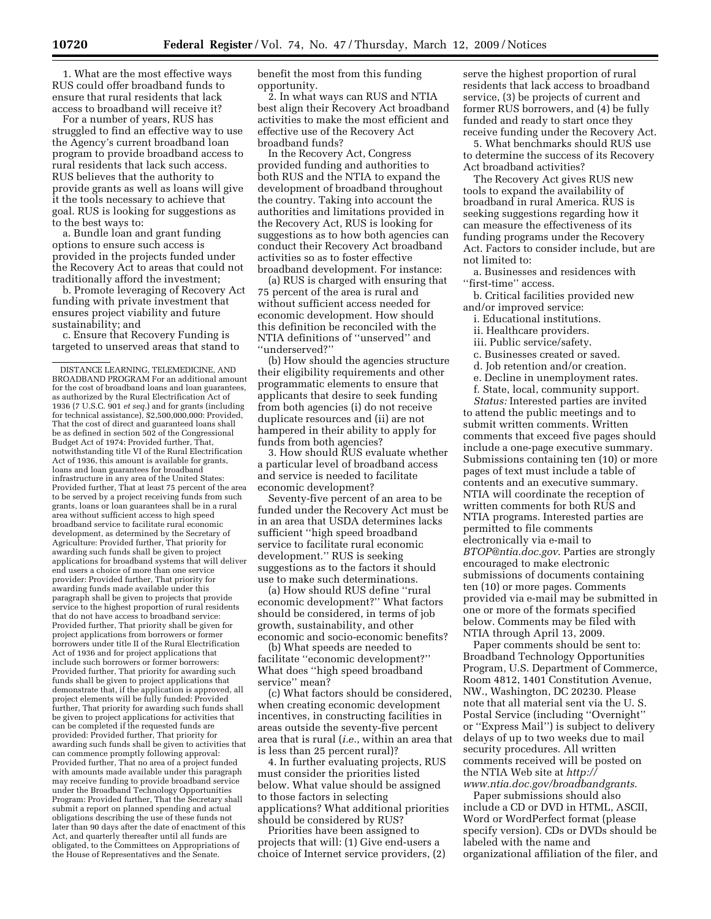1. What are the most effective ways RUS could offer broadband funds to ensure that rural residents that lack access to broadband will receive it?

For a number of years, RUS has struggled to find an effective way to use the Agency's current broadband loan program to provide broadband access to rural residents that lack such access. RUS believes that the authority to provide grants as well as loans will give it the tools necessary to achieve that goal. RUS is looking for suggestions as to the best ways to:

a. Bundle loan and grant funding options to ensure such access is provided in the projects funded under the Recovery Act to areas that could not traditionally afford the investment;

b. Promote leveraging of Recovery Act funding with private investment that ensures project viability and future sustainability; and

c. Ensure that Recovery Funding is targeted to unserved areas that stand to benefit the most from this funding opportunity.

2. In what ways can RUS and NTIA best align their Recovery Act broadband activities to make the most efficient and effective use of the Recovery Act broadband funds?

In the Recovery Act, Congress provided funding and authorities to both RUS and the NTIA to expand the development of broadband throughout the country. Taking into account the authorities and limitations provided in the Recovery Act, RUS is looking for suggestions as to how both agencies can conduct their Recovery Act broadband activities so as to foster effective broadband development. For instance:

(a) RUS is charged with ensuring that 75 percent of the area is rural and without sufficient access needed for economic development. How should this definition be reconciled with the NTIA definitions of ''unserved'' and ''underserved?''

(b) How should the agencies structure their eligibility requirements and other programmatic elements to ensure that applicants that desire to seek funding from both agencies (i) do not receive duplicate resources and (ii) are not hampered in their ability to apply for funds from both agencies?

3. How should RUS evaluate whether a particular level of broadband access and service is needed to facilitate economic development?

Seventy-five percent of an area to be funded under the Recovery Act must be in an area that USDA determines lacks sufficient ''high speed broadband service to facilitate rural economic development.'' RUS is seeking suggestions as to the factors it should use to make such determinations.

(a) How should RUS define ''rural economic development?'' What factors should be considered, in terms of job growth, sustainability, and other economic and socio-economic benefits?

(b) What speeds are needed to facilitate ''economic development?'' What does ''high speed broadband service'' mean?

(c) What factors should be considered, when creating economic development incentives, in constructing facilities in areas outside the seventy-five percent area that is rural (*i.e.*, within an area that is less than 25 percent rural)?

4. In further evaluating projects, RUS must consider the priorities listed below. What value should be assigned to those factors in selecting applications? What additional priorities should be considered by RUS?

Priorities have been assigned to projects that will: (1) Give end-users a choice of Internet service providers, (2)

serve the highest proportion of rural residents that lack access to broadband service, (3) be projects of current and former RUS borrowers, and (4) be fully funded and ready to start once they receive funding under the Recovery Act.

5. What benchmarks should RUS use to determine the success of its Recovery Act broadband activities?

The Recovery Act gives RUS new tools to expand the availability of broadband in rural America. RUS is seeking suggestions regarding how it can measure the effectiveness of its funding programs under the Recovery Act. Factors to consider include, but are not limited to:

a. Businesses and residences with "first-time" access.

b. Critical facilities provided new and/or improved service:

- i. Educational institutions.
- ii. Healthcare providers.
- iii. Public service/safety.
- c. Businesses created or saved.
- d. Job retention and/or creation.
- e. Decline in unemployment rates.
- f. State, local, community support.
- *Status:* Interested parties are invited

to attend the public meetings and to submit written comments. Written comments that exceed five pages should include a one-page executive summary. Submissions containing ten (10) or more pages of text must include a table of contents and an executive summary. NTIA will coordinate the reception of written comments for both RUS and NTIA programs. Interested parties are permitted to file comments electronically via e-mail to *BTOP@ntia.doc.gov*. Parties are strongly encouraged to make electronic submissions of documents containing ten (10) or more pages. Comments provided via e-mail may be submitted in one or more of the formats specified below. Comments may be filed with NTIA through April 13, 2009.

Paper comments should be sent to: Broadband Technology Opportunities Program, U.S. Department of Commerce, Room 4812, 1401 Constitution Avenue, NW., Washington, DC 20230. Please note that all material sent via the U. S. Postal Service (including ''Overnight'' or ''Express Mail'') is subject to delivery delays of up to two weeks due to mail security procedures. All written comments received will be posted on the NTIA Web site at *http:// www.ntia.doc.gov/broadbandgrants*.

Paper submissions should also include a CD or DVD in HTML, ASCII, Word or WordPerfect format (please specify version). CDs or DVDs should be labeled with the name and organizational affiliation of the filer, and

DISTANCE LEARNING, TELEMEDICINE, AND BROADBAND PROGRAM For an additional amount for the cost of broadband loans and loan guarantees, as authorized by the Rural Electrification Act of 1936 (7 U.S.C. 901 *et seq.*) and for grants (including for technical assistance), \$2,500,000,000: Provided, That the cost of direct and guaranteed loans shall be as defined in section 502 of the Congressional Budget Act of 1974: Provided further, That, notwithstanding title VI of the Rural Electrification Act of 1936, this amount is available for grants, loans and loan guarantees for broadband infrastructure in any area of the United States: Provided further, That at least 75 percent of the area to be served by a project receiving funds from such grants, loans or loan guarantees shall be in a rural area without sufficient access to high speed broadband service to facilitate rural economic development, as determined by the Secretary of Agriculture: Provided further, That priority for awarding such funds shall be given to project applications for broadband systems that will deliver end users a choice of more than one service provider: Provided further, That priority for awarding funds made available under this paragraph shall be given to projects that provide service to the highest proportion of rural residents that do not have access to broadband service: Provided further, That priority shall be given for project applications from borrowers or former borrowers under title II of the Rural Electrification Act of 1936 and for project applications that include such borrowers or former borrowers: Provided further, That priority for awarding such funds shall be given to project applications that demonstrate that, if the application is approved, all project elements will be fully funded: Provided further, That priority for awarding such funds shall be given to project applications for activities that can be completed if the requested funds are provided: Provided further, That priority for awarding such funds shall be given to activities that can commence promptly following approval: Provided further, That no area of a project funded with amounts made available under this paragraph may receive funding to provide broadband service under the Broadband Technology Opportunities Program: Provided further, That the Secretary shall submit a report on planned spending and actual obligations describing the use of these funds not later than 90 days after the date of enactment of this Act, and quarterly thereafter until all funds are obligated, to the Committees on Appropriations of the House of Representatives and the Senate.